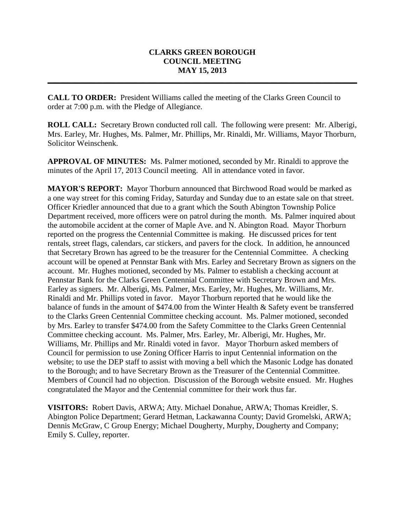## **CLARKS GREEN BOROUGH COUNCIL MEETING MAY 15, 2013**

**\_\_\_\_\_\_\_\_\_\_\_\_\_\_\_\_\_\_\_\_\_\_\_\_\_\_\_\_\_\_\_\_\_\_\_\_\_\_\_\_\_\_\_\_\_\_\_\_\_\_\_\_\_\_\_\_\_\_\_\_\_\_\_\_\_\_\_\_\_\_\_\_\_\_\_\_\_\_**

**CALL TO ORDER:** President Williams called the meeting of the Clarks Green Council to order at 7:00 p.m. with the Pledge of Allegiance.

**ROLL CALL:** Secretary Brown conducted roll call. The following were present: Mr. Alberigi, Mrs. Earley, Mr. Hughes, Ms. Palmer, Mr. Phillips, Mr. Rinaldi, Mr. Williams, Mayor Thorburn, Solicitor Weinschenk.

**APPROVAL OF MINUTES:** Ms. Palmer motioned, seconded by Mr. Rinaldi to approve the minutes of the April 17, 2013 Council meeting. All in attendance voted in favor.

**MAYOR'S REPORT:** Mayor Thorburn announced that Birchwood Road would be marked as a one way street for this coming Friday, Saturday and Sunday due to an estate sale on that street. Officer Kriedler announced that due to a grant which the South Abington Township Police Department received, more officers were on patrol during the month. Ms. Palmer inquired about the automobile accident at the corner of Maple Ave. and N. Abington Road. Mayor Thorburn reported on the progress the Centennial Committee is making. He discussed prices for tent rentals, street flags, calendars, car stickers, and pavers for the clock. In addition, he announced that Secretary Brown has agreed to be the treasurer for the Centennial Committee. A checking account will be opened at Pennstar Bank with Mrs. Earley and Secretary Brown as signers on the account. Mr. Hughes motioned, seconded by Ms. Palmer to establish a checking account at Pennstar Bank for the Clarks Green Centennial Committee with Secretary Brown and Mrs. Earley as signers. Mr. Alberigi, Ms. Palmer, Mrs. Earley, Mr. Hughes, Mr. Williams, Mr. Rinaldi and Mr. Phillips voted in favor. Mayor Thorburn reported that he would like the balance of funds in the amount of \$474.00 from the Winter Health & Safety event be transferred to the Clarks Green Centennial Committee checking account. Ms. Palmer motioned, seconded by Mrs. Earley to transfer \$474.00 from the Safety Committee to the Clarks Green Centennial Committee checking account. Ms. Palmer, Mrs. Earley, Mr. Alberigi, Mr. Hughes, Mr. Williams, Mr. Phillips and Mr. Rinaldi voted in favor. Mayor Thorburn asked members of Council for permission to use Zoning Officer Harris to input Centennial information on the website; to use the DEP staff to assist with moving a bell which the Masonic Lodge has donated to the Borough; and to have Secretary Brown as the Treasurer of the Centennial Committee. Members of Council had no objection. Discussion of the Borough website ensued. Mr. Hughes congratulated the Mayor and the Centennial committee for their work thus far.

**VISITORS:** Robert Davis, ARWA; Atty. Michael Donahue, ARWA; Thomas Kreidler, S. Abington Police Department; Gerard Hetman, Lackawanna County; David Gromelski, ARWA; Dennis McGraw, C Group Energy; Michael Dougherty, Murphy, Dougherty and Company; Emily S. Culley, reporter.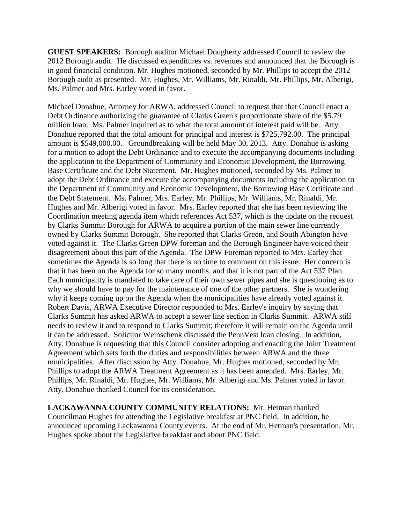**GUEST SPEAKERS:** Borough auditor Michael Dougherty addressed Council to review the 2012 Borough audit. He discussed expenditures vs. revenues and announced that the Borough is in good financial condition. Mr. Hughes motioned, seconded by Mr. Phillips to accept the 2012 Borough audit as presented. Mr. Hughes, Mr. Williams, Mr. Rinaldi, Mr. Phillips, Mr. Alberigi, Ms. Palmer and Mrs. Earley voted in favor.

Michael Donahue, Attorney for ARWA, addressed Council to request that that Council enact a Debt Ordinance authorizing the guarantee of Clarks Green's proportionate share of the \$5.79 million loan. Ms. Palmer inquired as to what the total amount of interest paid will be. Atty. Donahue reported that the total amount for principal and interest is \$725,792.00. The principal amount is \$549,000.00. Groundbreaking will be held May 30, 2013. Atty. Donahue is asking for a motion to adopt the Debt Ordinance and to execute the accompanying documents including the application to the Department of Community and Economic Development, the Borrowing Base Certificate and the Debt Statement. Mr. Hughes motioned, seconded by Ms. Palmer to adopt the Debt Ordinance and execute the accompanying documents including the application to the Department of Community and Economic Development, the Borrowing Base Certificate and the Debt Statement. Ms. Palmer, Mrs. Earley, Mr. Phillips, Mr. Williams, Mr. Rinaldi, Mr. Hughes and Mr. Alberigi voted in favor. Mrs. Earley reported that she has been reviewing the Coordination meeting agenda item which references Act 537, which is the update on the request by Clarks Summit Borough for ARWA to acquire a portion of the main sewer line currently owned by Clarks Summit Borough. She reported that Clarks Green, and South Abington have voted against it. The Clarks Green DPW foreman and the Borough Engineer have voiced their disagreement about this part of the Agenda. The DPW Foreman reported to Mrs. Earley that sometimes the Agenda is so long that there is no time to comment on this issue. Her concern is that it has been on the Agenda for so many months, and that it is not part of the Act 537 Plan. Each municipality is mandated to take care of their own sewer pipes and she is questioning as to why we should have to pay for the maintenance of one of the other partners. She is wondering why it keeps coming up on the Agenda when the municipalities have already voted against it. Robert Davis, ARWA Executive Director responded to Mrs. Earley's inquiry by saying that Clarks Summit has asked ARWA to accept a sewer line section in Clarks Summit. ARWA still needs to review it and to respond to Clarks Summit; therefore it will remain on the Agenda until it can be addressed. Solicitor Weinschenk discussed the PennVest loan closing. In addition, Atty. Donahue is requesting that this Council consider adopting and enacting the Joint Treatment Agreement which sets forth the duties and responsibilities between ARWA and the three municipalities. After discussion by Atty. Donahue, Mr. Hughes motioned, seconded by Mr. Phillips to adopt the ARWA Treatment Agreement as it has been amended. Mrs. Earley, Mr. Phillips, Mr. Rinaldi, Mr. Hughes, Mr. Williams, Mr. Alberigi and Ms. Palmer voted in favor. Atty. Donahue thanked Council for its consideration.

**LACKAWANNA COUNTY COMMUNITY RELATIONS:** Mr. Hetman thanked Councilman Hughes for attending the Legislative breakfast at PNC field. In addition, he announced upcoming Lackawanna County events. At the end of Mr. Hetman's presentation, Mr. Hughes spoke about the Legislative breakfast and about PNC field.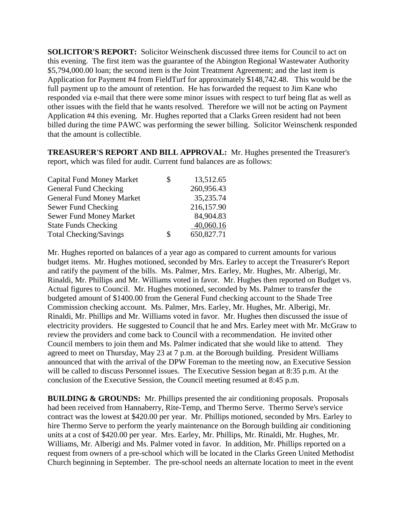**SOLICITOR'S REPORT:** Solicitor Weinschenk discussed three items for Council to act on this evening. The first item was the guarantee of the Abington Regional Wastewater Authority \$5,794,000.00 loan; the second item is the Joint Treatment Agreement; and the last item is Application for Payment #4 from FieldTurf for approximately \$148,742.48. This would be the full payment up to the amount of retention. He has forwarded the request to Jim Kane who responded via e-mail that there were some minor issues with respect to turf being flat as well as other issues with the field that he wants resolved. Therefore we will not be acting on Payment Application #4 this evening. Mr. Hughes reported that a Clarks Green resident had not been billed during the time PAWC was performing the sewer billing. Solicitor Weinschenk responded that the amount is collectible.

**TREASURER'S REPORT AND BILL APPROVAL:** Mr. Hughes presented the Treasurer's report, which was filed for audit. Current fund balances are as follows:

| \$ | 13,512.65  |
|----|------------|
|    | 260,956.43 |
|    | 35,235.74  |
|    | 216,157.90 |
|    | 84,904.83  |
|    | 40,060.16  |
| S  | 650,827.71 |
|    |            |

Mr. Hughes reported on balances of a year ago as compared to current amounts for various budget items. Mr. Hughes motioned, seconded by Mrs. Earley to accept the Treasurer's Report and ratify the payment of the bills. Ms. Palmer, Mrs. Earley, Mr. Hughes, Mr. Alberigi, Mr. Rinaldi, Mr. Phillips and Mr. Williams voted in favor. Mr. Hughes then reported on Budget vs. Actual figures to Council. Mr. Hughes motioned, seconded by Ms. Palmer to transfer the budgeted amount of \$1400.00 from the General Fund checking account to the Shade Tree Commission checking account. Ms. Palmer, Mrs. Earley, Mr. Hughes, Mr. Alberigi, Mr. Rinaldi, Mr. Phillips and Mr. Williams voted in favor. Mr. Hughes then discussed the issue of electricity providers. He suggested to Council that he and Mrs. Earley meet with Mr. McGraw to review the providers and come back to Council with a recommendation. He invited other Council members to join them and Ms. Palmer indicated that she would like to attend. They agreed to meet on Thursday, May 23 at 7 p.m. at the Borough building. President Williams announced that with the arrival of the DPW Foreman to the meeting now, an Executive Session will be called to discuss Personnel issues. The Executive Session began at 8:35 p.m. At the conclusion of the Executive Session, the Council meeting resumed at 8:45 p.m.

**BUILDING & GROUNDS:** Mr. Phillips presented the air conditioning proposals. Proposals had been received from Hannaberry, Rite-Temp, and Thermo Serve. Thermo Serve's service contract was the lowest at \$420.00 per year. Mr. Phillips motioned, seconded by Mrs. Earley to hire Thermo Serve to perform the yearly maintenance on the Borough building air conditioning units at a cost of \$420.00 per year. Mrs. Earley, Mr. Phillips, Mr. Rinaldi, Mr. Hughes, Mr. Williams, Mr. Alberigi and Ms. Palmer voted in favor. In addition, Mr. Phillips reported on a request from owners of a pre-school which will be located in the Clarks Green United Methodist Church beginning in September. The pre-school needs an alternate location to meet in the event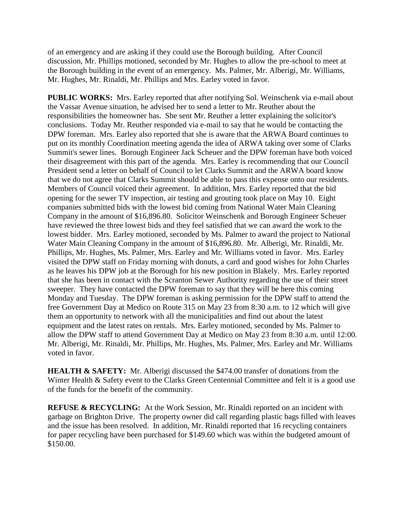of an emergency and are asking if they could use the Borough building. After Council discussion, Mr. Phillips motioned, seconded by Mr. Hughes to allow the pre-school to meet at the Borough building in the event of an emergency. Ms. Palmer, Mr. Alberigi, Mr. Williams, Mr. Hughes, Mr. Rinaldi, Mr. Phillips and Mrs. Earley voted in favor.

**PUBLIC WORKS:** Mrs. Earley reported that after notifying Sol. Weinschenk via e-mail about the Vassar Avenue situation, he advised her to send a letter to Mr. Reuther about the responsibilities the homeowner has. She sent Mr. Reuther a letter explaining the solicitor's conclusions. Today Mr. Reuther responded via e-mail to say that he would be contacting the DPW foreman. Mrs. Earley also reported that she is aware that the ARWA Board continues to put on its monthly Coordination meeting agenda the idea of ARWA taking over some of Clarks Summit's sewer lines. Borough Engineer Jack Scheuer and the DPW foreman have both voiced their disagreement with this part of the agenda. Mrs. Earley is recommending that our Council President send a letter on behalf of Council to let Clarks Summit and the ARWA board know that we do not agree that Clarks Summit should be able to pass this expense onto our residents. Members of Council voiced their agreement. In addition, Mrs. Earley reported that the bid opening for the sewer TV inspection, air testing and grouting took place on May 10. Eight companies submitted bids with the lowest bid coming from National Water Main Cleaning Company in the amount of \$16,896.80. Solicitor Weinschenk and Borough Engineer Scheuer have reviewed the three lowest bids and they feel satisfied that we can award the work to the lowest bidder. Mrs. Earley motioned, seconded by Ms. Palmer to award the project to National Water Main Cleaning Company in the amount of \$16,896.80. Mr. Alberigi, Mr. Rinaldi, Mr. Phillips, Mr. Hughes, Ms. Palmer, Mrs. Earley and Mr. Williams voted in favor. Mrs. Earley visited the DPW staff on Friday morning with donuts, a card and good wishes for John Charles as he leaves his DPW job at the Borough for his new position in Blakely. Mrs. Earley reported that she has been in contact with the Scranton Sewer Authority regarding the use of their street sweeper. They have contacted the DPW foreman to say that they will be here this coming Monday and Tuesday. The DPW foreman is asking permission for the DPW staff to attend the free Government Day at Medico on Route 315 on May 23 from 8:30 a.m. to 12 which will give them an opportunity to network with all the municipalities and find out about the latest equipment and the latest rates on rentals. Mrs. Earley motioned, seconded by Ms. Palmer to allow the DPW staff to attend Government Day at Medico on May 23 from 8:30 a.m. until 12:00. Mr. Alberigi, Mr. Rinaldi, Mr. Phillips, Mr. Hughes, Ms. Palmer, Mrs. Earley and Mr. Williams voted in favor.

**HEALTH & SAFETY:** Mr. Alberigi discussed the \$474.00 transfer of donations from the Winter Health & Safety event to the Clarks Green Centennial Committee and felt it is a good use of the funds for the benefit of the community.

**REFUSE & RECYCLING:** At the Work Session, Mr. Rinaldi reported on an incident with garbage on Brighton Drive. The property owner did call regarding plastic bags filled with leaves and the issue has been resolved. In addition, Mr. Rinaldi reported that 16 recycling containers for paper recycling have been purchased for \$149.60 which was within the budgeted amount of \$150.00.